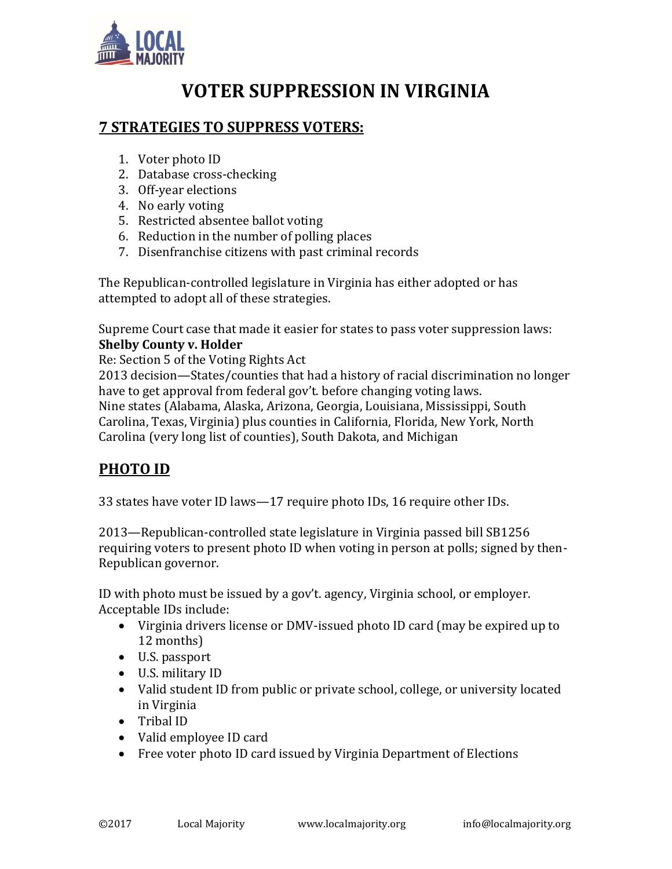

# **VOTER SUPPRESSION IN VIRGINIA**

### **7 STRATEGIES TO SUPPRESS VOTERS:**

- 1. Voter photo ID
- 2. Database cross-checking
- 3. Off-year elections
- 4. No early voting
- 5. Restricted absentee ballot voting
- 6. Reduction in the number of polling places
- 7. Disenfranchise citizens with past criminal records

The Republican-controlled legislature in Virginia has either adopted or has attempted to adopt all of these strategies.

Supreme Court case that made it easier for states to pass voter suppression laws: **Shelby County v. Holder**

Re: Section 5 of the Voting Rights Act

2013 decision—States/counties that had a history of racial discrimination no longer have to get approval from federal gov't. before changing voting laws. Nine states (Alabama, Alaska, Arizona, Georgia, Louisiana, Mississippi, South Carolina, Texas, Virginia) plus counties in California, Florida, New York, North Carolina (very long list of counties), South Dakota, and Michigan

# **PHOTO ID**

33 states have voter ID laws—17 require photo IDs, 16 require other IDs.

2013—Republican-controlled state legislature in Virginia passed bill SB1256 requiring voters to present photo ID when voting in person at polls; signed by then-Republican governor.

ID with photo must be issued by a gov't. agency, Virginia school, or employer. Acceptable IDs include:

- Virginia drivers license or DMV-issued photo ID card (may be expired up to 12 months)
- U.S. passport
- U.S. military ID
- Valid student ID from public or private school, college, or university located in Virginia
- Tribal ID
- Valid employee ID card
- Free voter photo ID card issued by Virginia Department of Elections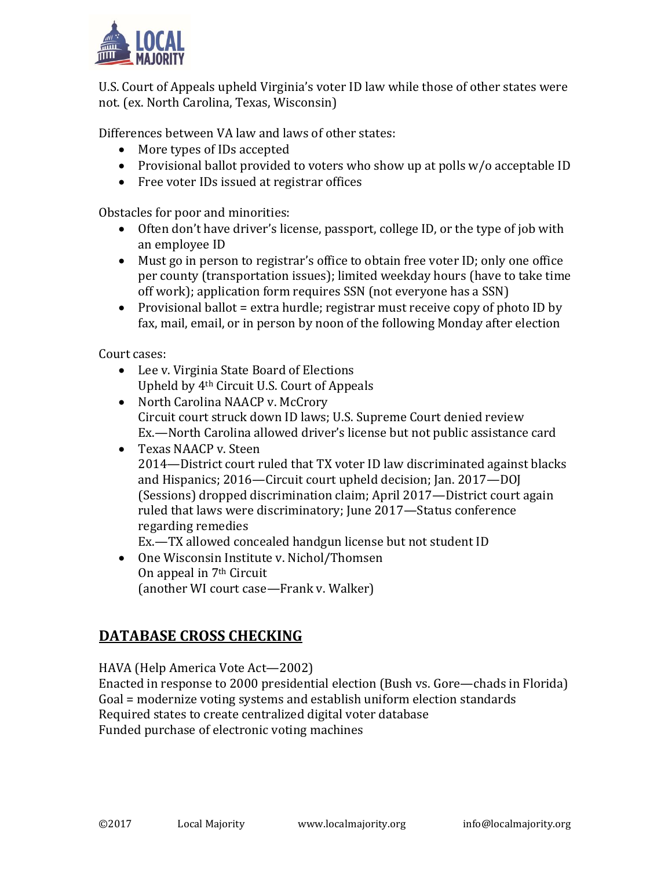

U.S. Court of Appeals upheld Virginia's voter ID law while those of other states were not. (ex. North Carolina, Texas, Wisconsin)

Differences between VA law and laws of other states:

- More types of IDs accepted
- Provisional ballot provided to voters who show up at polls w/o acceptable ID
- Free voter IDs issued at registrar offices

Obstacles for poor and minorities:

- Often don't have driver's license, passport, college ID, or the type of job with an employee ID
- Must go in person to registrar's office to obtain free voter ID; only one office per county (transportation issues); limited weekday hours (have to take time off work); application form requires SSN (not everyone has a SSN)
- Provisional ballot = extra hurdle; registrar must receive copy of photo ID by fax, mail, email, or in person by noon of the following Monday after election

Court cases:

- Lee v. Virginia State Board of Elections Upheld by 4th Circuit U.S. Court of Appeals
- North Carolina NAACP v. McCrory Circuit court struck down ID laws; U.S. Supreme Court denied review Ex.—North Carolina allowed driver's license but not public assistance card
- Texas NAACP v. Steen 2014—District court ruled that TX voter ID law discriminated against blacks and Hispanics; 2016—Circuit court upheld decision; Jan. 2017—DOJ (Sessions) dropped discrimination claim; April 2017—District court again ruled that laws were discriminatory; June 2017—Status conference regarding remedies

Ex.—TX allowed concealed handgun license but not student ID

• One Wisconsin Institute v. Nichol/Thomsen On appeal in 7th Circuit (another WI court case—Frank v. Walker)

# **DATABASE CROSS CHECKING**

HAVA (Help America Vote Act—2002)

Enacted in response to 2000 presidential election (Bush vs. Gore—chads in Florida) Goal = modernize voting systems and establish uniform election standards Required states to create centralized digital voter database Funded purchase of electronic voting machines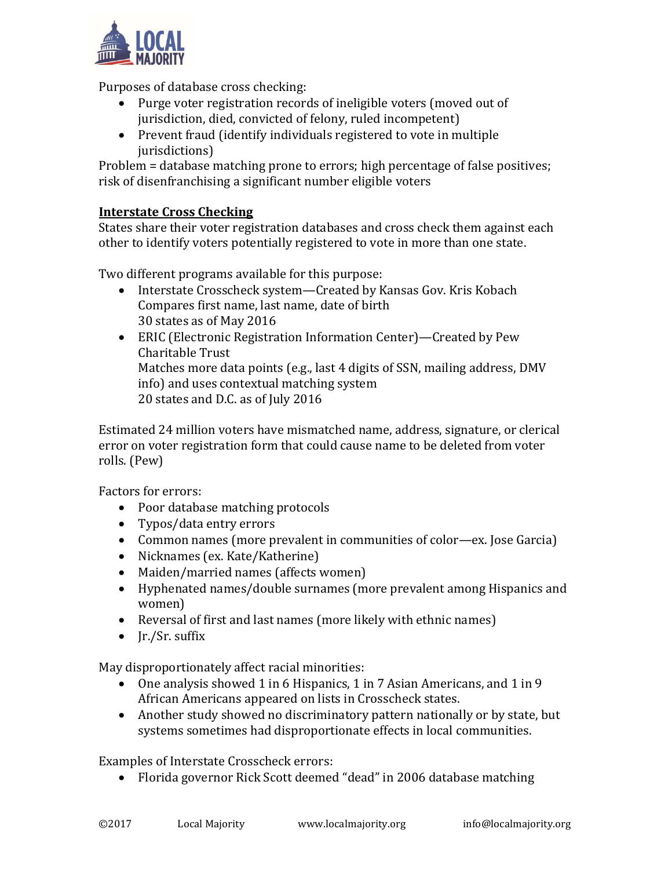

Purposes of database cross checking:

- Purge voter registration records of ineligible voters (moved out of jurisdiction, died, convicted of felony, ruled incompetent)
- Prevent fraud (identify individuals registered to vote in multiple jurisdictions)

Problem = database matching prone to errors; high percentage of false positives; risk of disenfranchising a significant number eligible voters

### **Interstate Cross Checking**

States share their voter registration databases and cross check them against each other to identify voters potentially registered to vote in more than one state.

Two different programs available for this purpose:

- Interstate Crosscheck system—Created by Kansas Gov. Kris Kobach Compares first name, last name, date of birth 30 states as of May 2016
- ERIC (Electronic Registration Information Center)—Created by Pew Charitable Trust Matches more data points (e.g., last 4 digits of SSN, mailing address, DMV info) and uses contextual matching system 20 states and D.C. as of July 2016

Estimated 24 million voters have mismatched name, address, signature, or clerical error on voter registration form that could cause name to be deleted from voter rolls. (Pew)

Factors for errors:

- Poor database matching protocols
- Typos/data entry errors
- Common names (more prevalent in communities of color—ex. Jose Garcia)
- Nicknames (ex. Kate/Katherine)
- Maiden/married names (affects women)
- Hyphenated names/double surnames (more prevalent among Hispanics and women)
- Reversal of first and last names (more likely with ethnic names)
- $\bullet$  Ir./Sr. suffix

May disproportionately affect racial minorities:

- One analysis showed 1 in 6 Hispanics, 1 in 7 Asian Americans, and 1 in 9 African Americans appeared on lists in Crosscheck states.
- Another study showed no discriminatory pattern nationally or by state, but systems sometimes had disproportionate effects in local communities.

Examples of Interstate Crosscheck errors:

• Florida governor Rick Scott deemed "dead" in 2006 database matching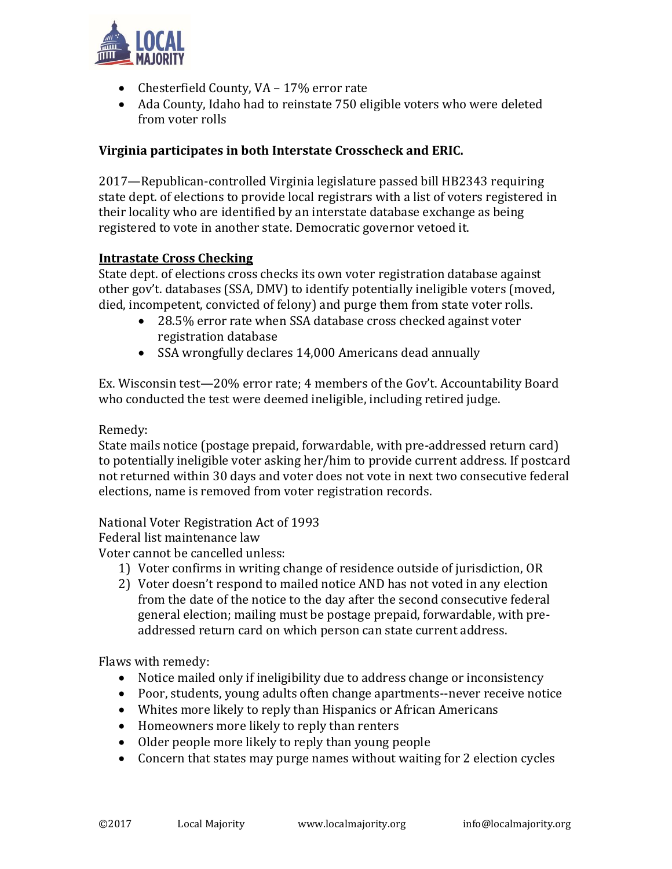

- Chesterfield County, VA 17% error rate
- Ada County, Idaho had to reinstate 750 eligible voters who were deleted from voter rolls

#### **Virginia participates in both Interstate Crosscheck and ERIC.**

2017—Republican-controlled Virginia legislature passed bill HB2343 requiring state dept. of elections to provide local registrars with a list of voters registered in their locality who are identified by an interstate database exchange as being registered to vote in another state. Democratic governor vetoed it.

#### **Intrastate Cross Checking**

State dept. of elections cross checks its own voter registration database against other gov't. databases (SSA, DMV) to identify potentially ineligible voters (moved, died, incompetent, convicted of felony) and purge them from state voter rolls.

- 28.5% error rate when SSA database cross checked against voter registration database
- SSA wrongfully declares 14,000 Americans dead annually

Ex. Wisconsin test—20% error rate; 4 members of the Gov't. Accountability Board who conducted the test were deemed ineligible, including retired judge.

Remedy:

State mails notice (postage prepaid, forwardable, with pre-addressed return card) to potentially ineligible voter asking her/him to provide current address. If postcard not returned within 30 days and voter does not vote in next two consecutive federal elections, name is removed from voter registration records.

National Voter Registration Act of 1993

Federal list maintenance law

Voter cannot be cancelled unless:

- 1) Voter confirms in writing change of residence outside of jurisdiction, OR
- 2) Voter doesn't respond to mailed notice AND has not voted in any election from the date of the notice to the day after the second consecutive federal general election; mailing must be postage prepaid, forwardable, with preaddressed return card on which person can state current address.

Flaws with remedy:

- Notice mailed only if ineligibility due to address change or inconsistency
- Poor, students, young adults often change apartments--never receive notice
- Whites more likely to reply than Hispanics or African Americans
- Homeowners more likely to reply than renters
- Older people more likely to reply than young people
- Concern that states may purge names without waiting for 2 election cycles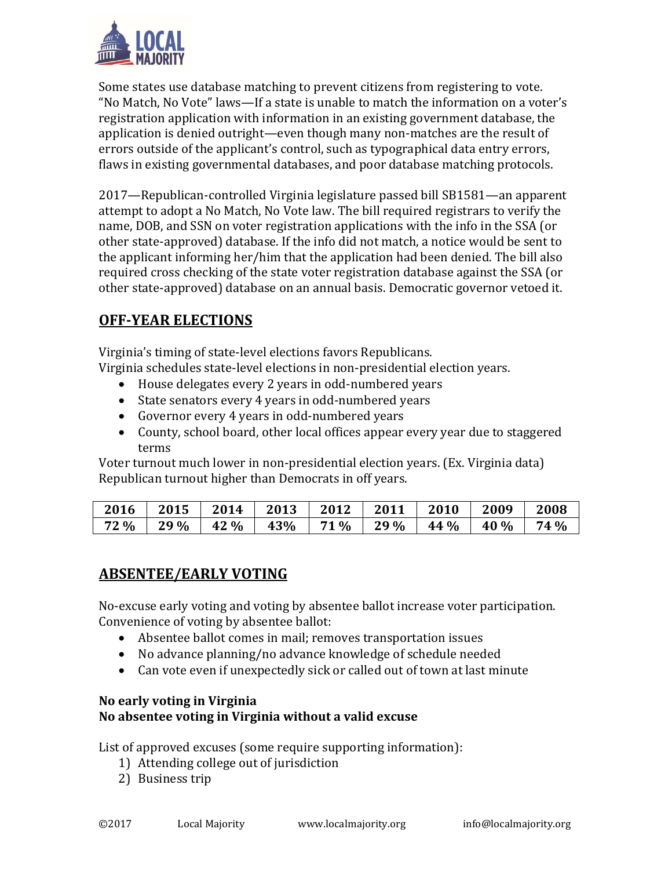

Some states use database matching to prevent citizens from registering to vote. "No Match, No Vote" laws—If a state is unable to match the information on a voter's registration application with information in an existing government database, the application is denied outright—even though many non-matches are the result of errors outside of the applicant's control, such as typographical data entry errors, flaws in existing governmental databases, and poor database matching protocols.

2017—Republican-controlled Virginia legislature passed bill SB1581—an apparent attempt to adopt a No Match, No Vote law. The bill required registrars to verify the name, DOB, and SSN on voter registration applications with the info in the SSA (or other state-approved) database. If the info did not match, a notice would be sent to the applicant informing her/him that the application had been denied. The bill also required cross checking of the state voter registration database against the SSA (or other state-approved) database on an annual basis. Democratic governor vetoed it.

## **OFF-YEAR ELECTIONS**

Virginia's timing of state-level elections favors Republicans.

Virginia schedules state-level elections in non-presidential election years.

- House delegates every 2 years in odd-numbered years
- State senators every 4 years in odd-numbered years
- Governor every 4 years in odd-numbered years
- County, school board, other local offices appear every year due to staggered terms

Voter turnout much lower in non-presidential election years. (Ex. Virginia data) Republican turnout higher than Democrats in off years.

| 2016 | 2015 | 2014 | 2013 | 2012 | 2011 | 2010 | 2009 | 2008 |
|------|------|------|------|------|------|------|------|------|
| 72 % | 29 % | 42 % | 43%  | 71 % | 29 % | 44 % | 40 % | 74 % |

### **ABSENTEE/EARLY VOTING**

No-excuse early voting and voting by absentee ballot increase voter participation. Convenience of voting by absentee ballot:

- Absentee ballot comes in mail; removes transportation issues
- No advance planning/no advance knowledge of schedule needed
- Can vote even if unexpectedly sick or called out of town at last minute

### **No early voting in Virginia No absentee voting in Virginia without a valid excuse**

List of approved excuses (some require supporting information):

- 1) Attending college out of jurisdiction
- 2) Business trip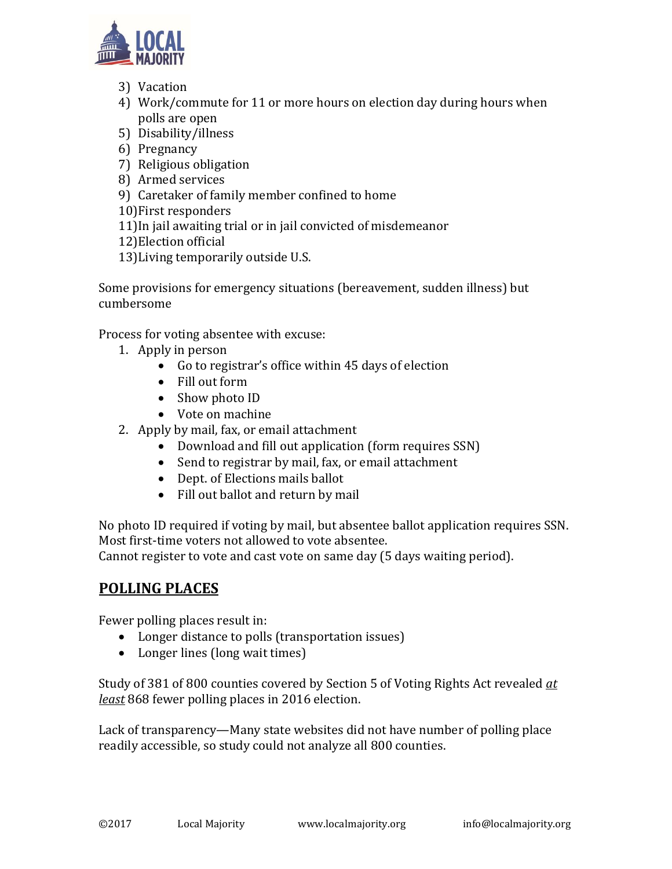

- 3) Vacation
- 4) Work/commute for 11 or more hours on election day during hours when polls are open
- 5) Disability/illness
- 6) Pregnancy
- 7) Religious obligation
- 8) Armed services
- 9) Caretaker of family member confined to home
- 10)First responders
- 11)In jail awaiting trial or in jail convicted of misdemeanor
- 12)Election official
- 13)Living temporarily outside U.S.

Some provisions for emergency situations (bereavement, sudden illness) but cumbersome

Process for voting absentee with excuse:

- 1. Apply in person
	- Go to registrar's office within 45 days of election
	- Fill out form
	- Show photo ID
	- Vote on machine
- 2. Apply by mail, fax, or email attachment
	- Download and fill out application (form requires SSN)
	- Send to registrar by mail, fax, or email attachment
	- Dept. of Elections mails ballot
	- Fill out ballot and return by mail

No photo ID required if voting by mail, but absentee ballot application requires SSN. Most first-time voters not allowed to vote absentee. Cannot register to vote and cast vote on same day (5 days waiting period).

### **POLLING PLACES**

Fewer polling places result in:

- Longer distance to polls (transportation issues)
- Longer lines (long wait times)

Study of 381 of 800 counties covered by Section 5 of Voting Rights Act revealed *at least* 868 fewer polling places in 2016 election.

Lack of transparency—Many state websites did not have number of polling place readily accessible, so study could not analyze all 800 counties.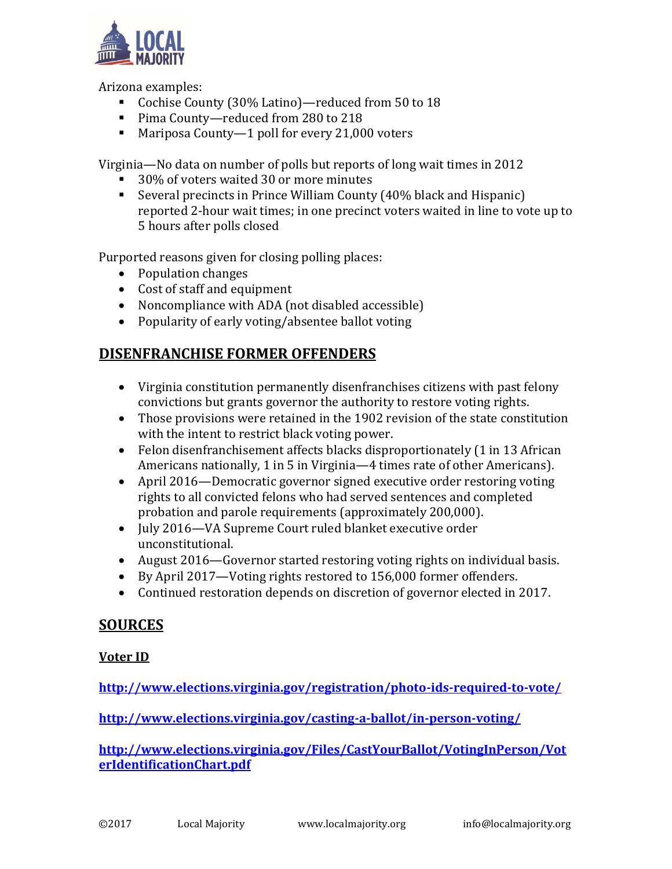

Arizona examples:

- Cochise County (30% Latino)—reduced from 50 to 18
- Pima County—reduced from 280 to 218
- Mariposa County—1 poll for every 21,000 voters

Virginia—No data on number of polls but reports of long wait times in 2012

- 30% of voters waited 30 or more minutes
- Several precincts in Prince William County (40% black and Hispanic) reported 2-hour wait times; in one precinct voters waited in line to vote up to 5 hours after polls closed

Purported reasons given for closing polling places:

- Population changes
- Cost of staff and equipment
- Noncompliance with ADA (not disabled accessible)
- Popularity of early voting/absentee ballot voting

### **DISENFRANCHISE FORMER OFFENDERS**

- Virginia constitution permanently disenfranchises citizens with past felony convictions but grants governor the authority to restore voting rights.
- Those provisions were retained in the 1902 revision of the state constitution with the intent to restrict black voting power.
- Felon disenfranchisement affects blacks disproportionately (1 in 13 African Americans nationally, 1 in 5 in Virginia—4 times rate of other Americans).
- April 2016—Democratic governor signed executive order restoring voting rights to all convicted felons who had served sentences and completed probation and parole requirements (approximately 200,000).
- July 2016—VA Supreme Court ruled blanket executive order unconstitutional.
- August 2016—Governor started restoring voting rights on individual basis.
- By April 2017—Voting rights restored to 156,000 former offenders.
- Continued restoration depends on discretion of governor elected in 2017.

### **SOURCES**

#### **Voter ID**

**<http://www.elections.virginia.gov/registration/photo-ids-required-to-vote/>**

**<http://www.elections.virginia.gov/casting-a-ballot/in-person-voting/>**

**[http://www.elections.virginia.gov/Files/CastYourBallot/VotingInPerson/Vot](http://www.elections.virginia.gov/Files/CastYourBallot/VotingInPerson/VoterIdentificationChart.pdf) [erIdentificationChart.pdf](http://www.elections.virginia.gov/Files/CastYourBallot/VotingInPerson/VoterIdentificationChart.pdf)**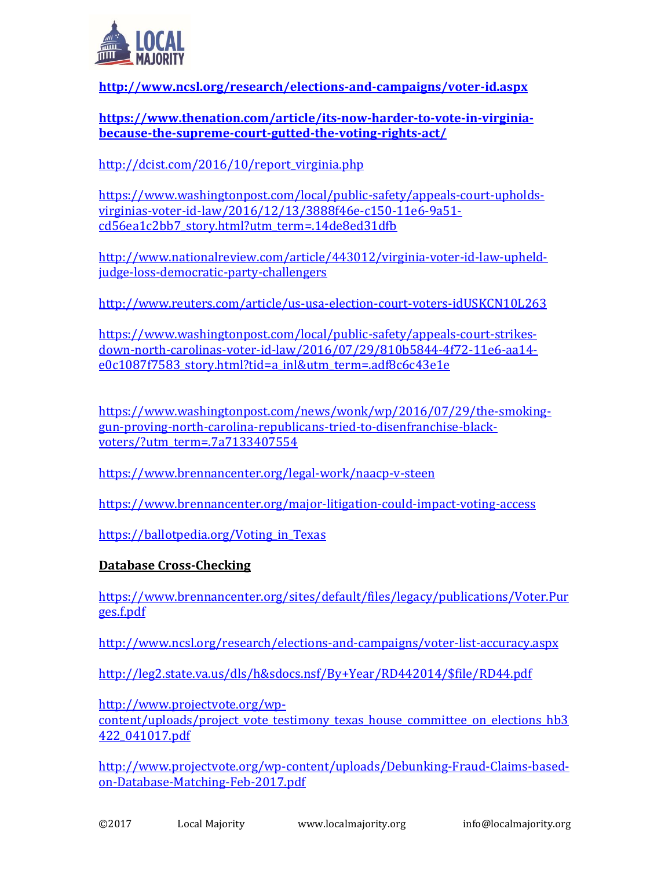

**<http://www.ncsl.org/research/elections-and-campaigns/voter-id.aspx>**

**[https://www.thenation.com/article/its-now-harder-to-vote-in-virginia](https://www.thenation.com/article/its-now-harder-to-vote-in-virginia-because-the-supreme-court-gutted-the-voting-rights-act/)[because-the-supreme-court-gutted-the-voting-rights-act/](https://www.thenation.com/article/its-now-harder-to-vote-in-virginia-because-the-supreme-court-gutted-the-voting-rights-act/)**

[http://dcist.com/2016/10/report\\_virginia.php](http://dcist.com/2016/10/report_virginia.php)

[https://www.washingtonpost.com/local/public-safety/appeals-court-upholds](https://www.washingtonpost.com/local/public-safety/appeals-court-upholds-virginias-voter-id-law/2016/12/13/3888f46e-c150-11e6-9a51-cd56ea1c2bb7_story.html?utm_term=.14de8ed31dfb)[virginias-voter-id-law/2016/12/13/3888f46e-c150-11e6-9a51](https://www.washingtonpost.com/local/public-safety/appeals-court-upholds-virginias-voter-id-law/2016/12/13/3888f46e-c150-11e6-9a51-cd56ea1c2bb7_story.html?utm_term=.14de8ed31dfb) [cd56ea1c2bb7\\_story.html?utm\\_term=.14de8ed31dfb](https://www.washingtonpost.com/local/public-safety/appeals-court-upholds-virginias-voter-id-law/2016/12/13/3888f46e-c150-11e6-9a51-cd56ea1c2bb7_story.html?utm_term=.14de8ed31dfb)

[http://www.nationalreview.com/article/443012/virginia-voter-id-law-upheld](http://www.nationalreview.com/article/443012/virginia-voter-id-law-upheld-judge-loss-democratic-party-challengers)[judge-loss-democratic-party-challengers](http://www.nationalreview.com/article/443012/virginia-voter-id-law-upheld-judge-loss-democratic-party-challengers)

<http://www.reuters.com/article/us-usa-election-court-voters-idUSKCN10L263>

[https://www.washingtonpost.com/local/public-safety/appeals-court-strikes](https://www.washingtonpost.com/local/public-safety/appeals-court-strikes-down-north-carolinas-voter-id-law/2016/07/29/810b5844-4f72-11e6-aa14-e0c1087f7583_story.html?tid=a_inl&utm_term=.adf8c6c43e1e)[down-north-carolinas-voter-id-law/2016/07/29/810b5844-4f72-11e6-aa14](https://www.washingtonpost.com/local/public-safety/appeals-court-strikes-down-north-carolinas-voter-id-law/2016/07/29/810b5844-4f72-11e6-aa14-e0c1087f7583_story.html?tid=a_inl&utm_term=.adf8c6c43e1e) [e0c1087f7583\\_story.html?tid=a\\_inl&utm\\_term=.adf8c6c43e1e](https://www.washingtonpost.com/local/public-safety/appeals-court-strikes-down-north-carolinas-voter-id-law/2016/07/29/810b5844-4f72-11e6-aa14-e0c1087f7583_story.html?tid=a_inl&utm_term=.adf8c6c43e1e)

[https://www.washingtonpost.com/news/wonk/wp/2016/07/29/the-smoking](https://www.washingtonpost.com/news/wonk/wp/2016/07/29/the-smoking-gun-proving-north-carolina-republicans-tried-to-disenfranchise-black-voters/?utm_term=.7a7133407554)[gun-proving-north-carolina-republicans-tried-to-disenfranchise-black](https://www.washingtonpost.com/news/wonk/wp/2016/07/29/the-smoking-gun-proving-north-carolina-republicans-tried-to-disenfranchise-black-voters/?utm_term=.7a7133407554)[voters/?utm\\_term=.7a7133407554](https://www.washingtonpost.com/news/wonk/wp/2016/07/29/the-smoking-gun-proving-north-carolina-republicans-tried-to-disenfranchise-black-voters/?utm_term=.7a7133407554)

<https://www.brennancenter.org/legal-work/naacp-v-steen>

<https://www.brennancenter.org/major-litigation-could-impact-voting-access>

https://ballotpedia.org/Voting in Texas

#### **Database Cross-Checking**

[https://www.brennancenter.org/sites/default/files/legacy/publications/Voter.Pur](https://www.brennancenter.org/sites/default/files/legacy/publications/Voter.Purges.f.pdf) [ges.f.pdf](https://www.brennancenter.org/sites/default/files/legacy/publications/Voter.Purges.f.pdf)

<http://www.ncsl.org/research/elections-and-campaigns/voter-list-accuracy.aspx>

[http://leg2.state.va.us/dls/h&sdocs.nsf/By+Year/RD442014/\\$file/RD44.pdf](http://leg2.state.va.us/dls/h&sdocs.nsf/By+Year/RD442014/$file/RD44.pdf)

[http://www.projectvote.org/wp-](http://www.projectvote.org/wp-content/uploads/project_vote_testimony_texas_house_committee_on_elections_hb3422_041017.pdf)

content/uploads/project vote testimony texas house committee on elections hb3 [422\\_041017.pdf](http://www.projectvote.org/wp-content/uploads/project_vote_testimony_texas_house_committee_on_elections_hb3422_041017.pdf)

[http://www.projectvote.org/wp-content/uploads/Debunking-Fraud-Claims-based](http://www.projectvote.org/wp-content/uploads/Debunking-Fraud-Claims-based-on-Database-Matching-Feb-2017.pdf)[on-Database-Matching-Feb-2017.pdf](http://www.projectvote.org/wp-content/uploads/Debunking-Fraud-Claims-based-on-Database-Matching-Feb-2017.pdf)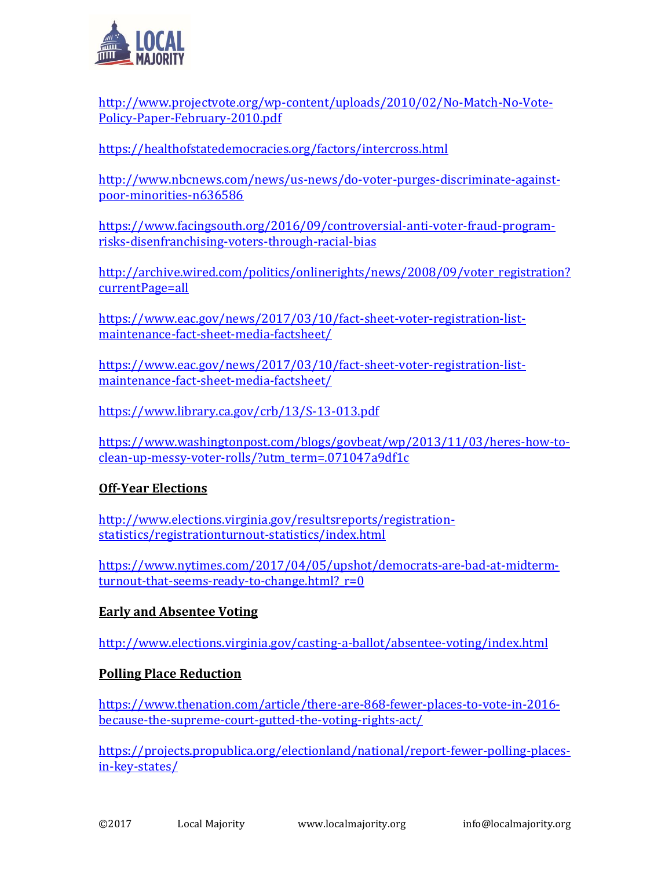

[http://www.projectvote.org/wp-content/uploads/2010/02/No-Match-No-Vote-](http://www.projectvote.org/wp-content/uploads/2010/02/No-Match-No-Vote-Policy-Paper-February-2010.pdf)[Policy-Paper-February-2010.pdf](http://www.projectvote.org/wp-content/uploads/2010/02/No-Match-No-Vote-Policy-Paper-February-2010.pdf)

<https://healthofstatedemocracies.org/factors/intercross.html>

[http://www.nbcnews.com/news/us-news/do-voter-purges-discriminate-against](http://www.nbcnews.com/news/us-news/do-voter-purges-discriminate-against-poor-minorities-n636586)[poor-minorities-n636586](http://www.nbcnews.com/news/us-news/do-voter-purges-discriminate-against-poor-minorities-n636586)

[https://www.facingsouth.org/2016/09/controversial-anti-voter-fraud-program](https://www.facingsouth.org/2016/09/controversial-anti-voter-fraud-program-risks-disenfranchising-voters-through-racial-bias)[risks-disenfranchising-voters-through-racial-bias](https://www.facingsouth.org/2016/09/controversial-anti-voter-fraud-program-risks-disenfranchising-voters-through-racial-bias)

[http://archive.wired.com/politics/onlinerights/news/2008/09/voter\\_registration?](http://archive.wired.com/politics/onlinerights/news/2008/09/voter_registration?currentPage=all) [currentPage=all](http://archive.wired.com/politics/onlinerights/news/2008/09/voter_registration?currentPage=all)

[https://www.eac.gov/news/2017/03/10/fact-sheet-voter-registration-list](https://www.eac.gov/news/2017/03/10/fact-sheet-voter-registration-list-maintenance-fact-sheet-media-factsheet/)[maintenance-fact-sheet-media-factsheet/](https://www.eac.gov/news/2017/03/10/fact-sheet-voter-registration-list-maintenance-fact-sheet-media-factsheet/)

[https://www.eac.gov/news/2017/03/10/fact-sheet-voter-registration-list](https://www.eac.gov/news/2017/03/10/fact-sheet-voter-registration-list-maintenance-fact-sheet-media-factsheet/)[maintenance-fact-sheet-media-factsheet/](https://www.eac.gov/news/2017/03/10/fact-sheet-voter-registration-list-maintenance-fact-sheet-media-factsheet/)

<https://www.library.ca.gov/crb/13/S-13-013.pdf>

[https://www.washingtonpost.com/blogs/govbeat/wp/2013/11/03/heres-how-to](https://www.washingtonpost.com/blogs/govbeat/wp/2013/11/03/heres-how-to-clean-up-messy-voter-rolls/?utm_term=.071047a9df1c)[clean-up-messy-voter-rolls/?utm\\_term=.071047a9df1c](https://www.washingtonpost.com/blogs/govbeat/wp/2013/11/03/heres-how-to-clean-up-messy-voter-rolls/?utm_term=.071047a9df1c)

### **Off-Year Elections**

[http://www.elections.virginia.gov/resultsreports/registration](http://www.elections.virginia.gov/resultsreports/registration-statistics/registrationturnout-statistics/index.html)[statistics/registrationturnout-statistics/index.html](http://www.elections.virginia.gov/resultsreports/registration-statistics/registrationturnout-statistics/index.html)

[https://www.nytimes.com/2017/04/05/upshot/democrats-are-bad-at-midterm](https://www.nytimes.com/2017/04/05/upshot/democrats-are-bad-at-midterm-turnout-that-seems-ready-to-change.html?_r=0)turnout-that-seems-ready-to-change.html? r=0

#### **Early and Absentee Voting**

<http://www.elections.virginia.gov/casting-a-ballot/absentee-voting/index.html>

### **Polling Place Reduction**

[https://www.thenation.com/article/there-are-868-fewer-places-to-vote-in-2016](https://www.thenation.com/article/there-are-868-fewer-places-to-vote-in-2016-because-the-supreme-court-gutted-the-voting-rights-act/) [because-the-supreme-court-gutted-the-voting-rights-act/](https://www.thenation.com/article/there-are-868-fewer-places-to-vote-in-2016-because-the-supreme-court-gutted-the-voting-rights-act/)

[https://projects.propublica.org/electionland/national/report-fewer-polling-places](https://projects.propublica.org/electionland/national/report-fewer-polling-places-in-key-states/)[in-key-states/](https://projects.propublica.org/electionland/national/report-fewer-polling-places-in-key-states/)